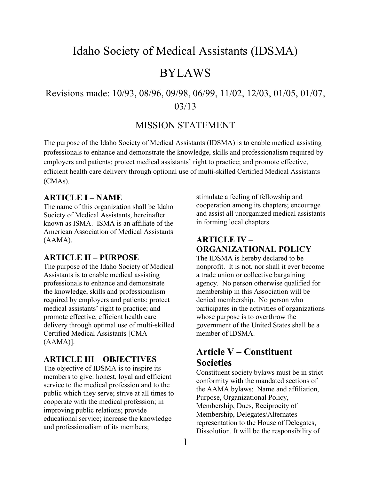# Idaho Society of Medical Assistants (IDSMA)

# BYLAWS

# Revisions made: 10/93, 08/96, 09/98, 06/99, 11/02, 12/03, 01/05, 01/07, 03/13

## MISSION STATEMENT

The purpose of the Idaho Society of Medical Assistants (IDSMA) is to enable medical assisting professionals to enhance and demonstrate the knowledge, skills and professionalism required by employers and patients; protect medical assistants' right to practice; and promote effective, efficient health care delivery through optional use of multi-skilled Certified Medical Assistants (CMAs).

## **ARTICLE I – NAME**

The name of this organization shall be Idaho Society of Medical Assistants, hereinafter known as ISMA. ISMA is an affiliate of the American Association of Medical Assistants (AAMA).

### **ARTICLE II – PURPOSE**

The purpose of the Idaho Society of Medical Assistants is to enable medical assisting professionals to enhance and demonstrate the knowledge, skills and professionalism required by employers and patients; protect medical assistants' right to practice; and promote effective, efficient health care delivery through optimal use of multi-skilled Certified Medical Assistants [CMA (AAMA)].

#### **ARTICLE III – OBJECTIVES**

The objective of IDSMA is to inspire its members to give: honest, loyal and efficient service to the medical profession and to the public which they serve; strive at all times to cooperate with the medical profession; in improving public relations; provide educational service; increase the knowledge and professionalism of its members;

stimulate a feeling of fellowship and cooperation among its chapters; encourage and assist all unorganized medical assistants in forming local chapters.

## **ARTICLE IV – ORGANIZATIONAL POLICY**

The IDSMA is hereby declared to be nonprofit. It is not, nor shall it ever become a trade union or collective bargaining agency. No person otherwise qualified for membership in this Association will be denied membership. No person who participates in the activities of organizations whose purpose is to overthrow the government of the United States shall be a member of IDSMA.

# **Article V – Constituent Societies**

Constituent society bylaws must be in strict conformity with the mandated sections of the AAMA bylaws: Name and affiliation, Purpose, Organizational Policy, Membership, Dues, Reciprocity of Membership, Delegates/Alternates representation to the House of Delegates, Dissolution. It will be the responsibility of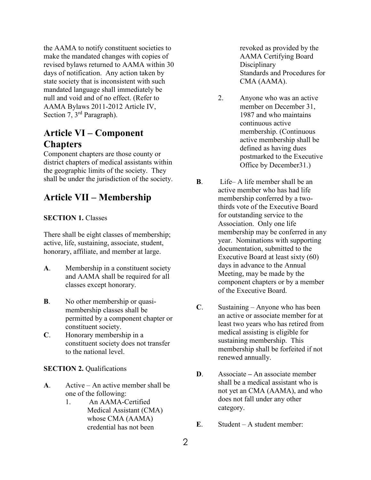the AAMA to notify constituent societies to make the mandated changes with copies of revised bylaws returned to AAMA within 30 days of notification. Any action taken by state society that is inconsistent with such mandated language shall immediately be null and void and of no effect. (Refer to AAMA Bylaws 2011-2012 Article IV, Section 7, 3<sup>rd</sup> Paragraph).

# **Article VI – Component Chapters**

Component chapters are those county or district chapters of medical assistants within the geographic limits of the society. They shall be under the jurisdiction of the society.

# **Article VII – Membership**

#### **SECTION 1. Classes**

There shall be eight classes of membership; active, life, sustaining, associate, student, honorary, affiliate, and member at large.

- **A**. Membership in a constituent society and AAMA shall be required for all classes except honorary.
- **B**. No other membership or quasimembership classes shall be permitted by a component chapter or constituent society.
- **C**. Honorary membership in a constituent society does not transfer to the national level.

#### **SECTION 2. Qualifications**

- **A**. Active An active member shall be one of the following:
	- 1. An AAMA-Certified Medical Assistant (CMA) whose CMA (AAMA) credential has not been

revoked as provided by the AAMA Certifying Board **Disciplinary** Standards and Procedures for CMA (AAMA).

- 2. Anyone who was an active member on December 31, 1987 and who maintains continuous active membership. (Continuous active membership shall be defined as having dues postmarked to the Executive Office by December31.)
- **B**. Life– A life member shall be an active member who has had life membership conferred by a twothirds vote of the Executive Board for outstanding service to the Association. Only one life membership may be conferred in any year. Nominations with supporting documentation, submitted to the Executive Board at least sixty (60) days in advance to the Annual Meeting, may be made by the component chapters or by a member of the Executive Board.
- **C**. Sustaining Anyone who has been an active or associate member for at least two years who has retired from medical assisting is eligible for sustaining membership. This membership shall be forfeited if not renewed annually.
- **D**. Associate **–** An associate member shall be a medical assistant who is not yet an CMA (AAMA), and who does not fall under any other category.
- **E**. Student A student member: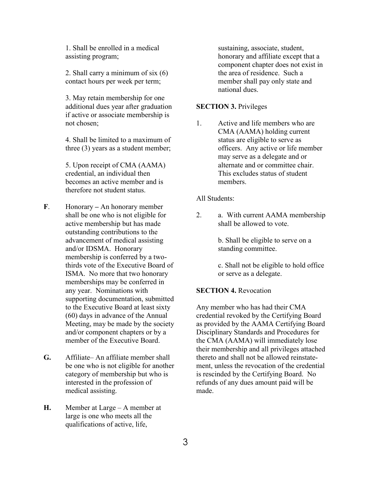1. Shall be enrolled in a medical assisting program;

2. Shall carry a minimum of six (6) contact hours per week per term;

3. May retain membership for one additional dues year after graduation if active or associate membership is not chosen;

4. Shall be limited to a maximum of three (3) years as a student member;

5. Upon receipt of CMA (AAMA) credential, an individual then becomes an active member and is therefore not student status.

- **F**. Honorary **–** An honorary member shall be one who is not eligible for active membership but has made outstanding contributions to the advancement of medical assisting and/or IDSMA. Honorary membership is conferred by a twothirds vote of the Executive Board of ISMA. No more that two honorary memberships may be conferred in any year. Nominations with supporting documentation, submitted to the Executive Board at least sixty (60) days in advance of the Annual Meeting, may be made by the society and/or component chapters or by a member of the Executive Board.
- **G.** Affiliate– An affiliate member shall be one who is not eligible for another category of membership but who is interested in the profession of medical assisting.
- **H.** Member at Large A member at large is one who meets all the qualifications of active, life,

sustaining, associate, student, honorary and affiliate except that a component chapter does not exist in the area of residence. Such a member shall pay only state and national dues.

#### **SECTION 3.** Privileges

1. Active and life members who are CMA (AAMA) holding current status are eligible to serve as officers. Any active or life member may serve as a delegate and or alternate and or committee chair. This excludes status of student members.

#### All Students:

2. a. With current AAMA membership shall be allowed to vote.

> b. Shall be eligible to serve on a standing committee.

c. Shall not be eligible to hold office or serve as a delegate.

#### **SECTION 4. Revocation**

Any member who has had their CMA credential revoked by the Certifying Board as provided by the AAMA Certifying Board Disciplinary Standards and Procedures for the CMA (AAMA) will immediately lose their membership and all privileges attached thereto and shall not be allowed reinstatement, unless the revocation of the credential is rescinded by the Certifying Board. No refunds of any dues amount paid will be made.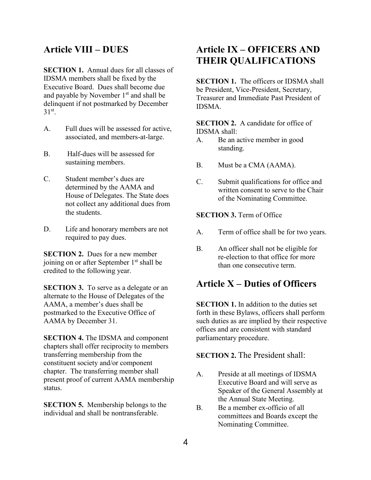## **Article VIII – DUES**

**SECTION 1.** Annual dues for all classes of IDSMA members shall be fixed by the Executive Board. Dues shall become due and payable by November 1st and shall be delinquent if not postmarked by December  $31<sup>st</sup>$ .

- A. Full dues will be assessed for active, associated, and members-at-large.
- B. Half-dues will be assessed for sustaining members.
- C. Student member's dues are determined by the AAMA and House of Delegates. The State does not collect any additional dues from the students.
- D. Life and honorary members are not required to pay dues.

**SECTION 2.** Dues for a new member joining on or after September  $1<sup>st</sup>$  shall be credited to the following year.

**SECTION 3.** To serve as a delegate or an alternate to the House of Delegates of the AAMA, a member's dues shall be postmarked to the Executive Office of AAMA by December 31.

**SECTION 4.** The IDSMA and component chapters shall offer reciprocity to members transferring membership from the constituent society and/or component chapter. The transferring member shall present proof of current AAMA membership status.

**SECTION 5.** Membership belongs to the individual and shall be nontransferable.

# **Article IX – OFFICERS AND THEIR QUALIFICATIONS**

**SECTION 1.** The officers or **IDSMA** shall be President, Vice-President, Secretary, Treasurer and Immediate Past President of IDSMA.

**SECTION 2.** A candidate for office of IDSMA shall:

- A. Be an active member in good standing.
- B. Must be a CMA (AAMA).
- C. Submit qualifications for office and written consent to serve to the Chair of the Nominating Committee.

**SECTION 3.** Term of Office

- A. Term of office shall be for two years.
- B. An officer shall not be eligible for re-election to that office for more than one consecutive term.

## **Article X – Duties of Officers**

**SECTION 1.** In addition to the duties set forth in these Bylaws, officers shall perform such duties as are implied by their respective offices and are consistent with standard parliamentary procedure.

#### **SECTION 2.** The President shall:

- A. Preside at all meetings of IDSMA Executive Board and will serve as Speaker of the General Assembly at the Annual State Meeting.
- B. Be a member ex-officio of all committees and Boards except the Nominating Committee.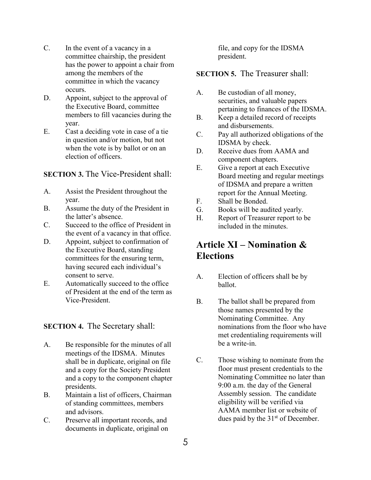- C. In the event of a vacancy in a committee chairship, the president has the power to appoint a chair from among the members of the committee in which the vacancy occurs.
- D. Appoint, subject to the approval of the Executive Board, committee members to fill vacancies during the year.
- E. Cast a deciding vote in case of a tie in question and/or motion, but not when the vote is by ballot or on an election of officers.

### **SECTION 3.** The Vice-President shall:

- A. Assist the President throughout the year.
- B. Assume the duty of the President in the latter's absence.
- C. Succeed to the office of President in the event of a vacancy in that office.
- D. Appoint, subject to confirmation of the Executive Board, standing committees for the ensuring term, having secured each individual's consent to serve.
- E. Automatically succeed to the office of President at the end of the term as Vice-President.

### **SECTION 4.** The Secretary shall:

- A. Be responsible for the minutes of all meetings of the IDSMA. Minutes shall be in duplicate, original on file and a copy for the Society President and a copy to the component chapter presidents.
- B. Maintain a list of officers, Chairman of standing committees, members and advisors.
- C. Preserve all important records, and documents in duplicate, original on

file, and copy for the IDSMA president.

### **SECTION 5.** The Treasurer shall:

- A. Be custodian of all money, securities, and valuable papers pertaining to finances of the IDSMA.
- B. Keep a detailed record of receipts and disbursements.
- C. Pay all authorized obligations of the IDSMA by check.
- D. Receive dues from AAMA and component chapters.
- E. Give a report at each Executive Board meeting and regular meetings of IDSMA and prepare a written report for the Annual Meeting.
- F. Shall be Bonded.
- G. Books will be audited yearly.
- H. Report of Treasurer report to be included in the minutes.

# **Article XI – Nomination & Elections**

- A. Election of officers shall be by ballot.
- B. The ballot shall be prepared from those names presented by the Nominating Committee. Any nominations from the floor who have met credentialing requirements will be a write-in.
- C. Those wishing to nominate from the floor must present credentials to the Nominating Committee no later than 9:00 a.m. the day of the General Assembly session. The candidate eligibility will be verified via AAMA member list or website of dues paid by the  $31<sup>st</sup>$  of December.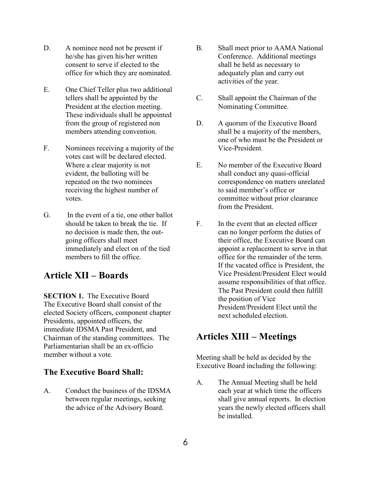- D. A nominee need not be present if he/she has given his/her written consent to serve if elected to the office for which they are nominated.
- E. One Chief Teller plus two additional tellers shall be appointed by the President at the election meeting. These individuals shall be appointed from the group of registered non members attending convention.
- F. Nominees receiving a majority of the votes cast will be declared elected. Where a clear majority is not evident, the balloting will be repeated on the two nominees receiving the highest number of votes.
- G. In the event of a tie, one other ballot should be taken to break the tie. If no decision is made then, the outgoing officers shall meet immediately and elect on of the tied members to fill the office.

## **Article XII – Boards**

**SECTION 1.** The Executive Board The Executive Board shall consist of the elected Society officers, component chapter Presidents, appointed officers, the immediate IDSMA Past President, and Chairman of the standing committees. The Parliamentarian shall be an ex-officio member without a vote.

### **The Executive Board Shall:**

A. Conduct the business of the IDSMA between regular meetings, seeking the advice of the Advisory Board.

- B. Shall meet prior to AAMA National Conference. Additional meetings shall be held as necessary to adequately plan and carry out activities of the year.
- C. Shall appoint the Chairman of the Nominating Committee.
- D. A quorum of the Executive Board shall be a majority of the members, one of who must be the President or Vice-President.
- E. No member of the Executive Board shall conduct any quasi-official correspondence on matters unrelated to said member's office or committee without prior clearance from the President.
- F. In the event that an elected officer can no longer perform the duties of their office, the Executive Board can appoint a replacement to serve in that office for the remainder of the term. If the vacated office is President, the Vice President/President Elect would assume responsibilities of that office. The Past President could then fulfill the position of Vice President/President Elect until the next scheduled election.

# **Articles XIII – Meetings**

Meeting shall be held as decided by the Executive Board including the following:

A. The Annual Meeting shall be held each year at which time the officers shall give annual reports. In election years the newly elected officers shall be installed.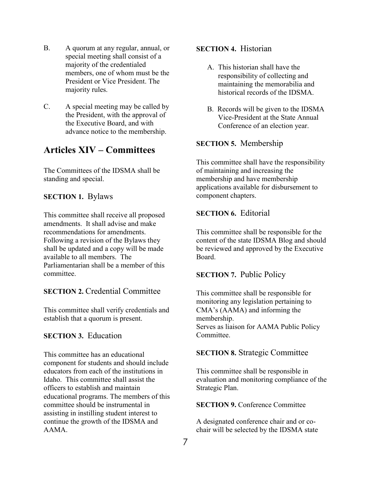- B. A quorum at any regular, annual, or special meeting shall consist of a majority of the credentialed members, one of whom must be the President or Vice President. The majority rules.
- C. A special meeting may be called by the President, with the approval of the Executive Board, and with advance notice to the membership.

# **Articles XIV – Committees**

The Committees of the IDSMA shall be standing and special.

### **SECTION 1.** Bylaws

This committee shall receive all proposed amendments. It shall advise and make recommendations for amendments. Following a revision of the Bylaws they shall be updated and a copy will be made available to all members. The Parliamentarian shall be a member of this committee.

### **SECTION 2. Credential Committee**

This committee shall verify credentials and establish that a quorum is present.

### **SECTION 3. Education**

This committee has an educational component for students and should include educators from each of the institutions in Idaho. This committee shall assist the officers to establish and maintain educational programs. The members of this committee should be instrumental in assisting in instilling student interest to continue the growth of the IDSMA and AAMA.

### **SECTION 4. Historian**

- A. This historian shall have the responsibility of collecting and maintaining the memorabilia and historical records of the IDSMA.
- B. Records will be given to the IDSMA Vice-President at the State Annual Conference of an election year.

### **SECTION 5.** Membership

This committee shall have the responsibility of maintaining and increasing the membership and have membership applications available for disbursement to component chapters.

### **SECTION 6. Editorial**

This committee shall be responsible for the content of the state IDSMA Blog and should be reviewed and approved by the Executive Board.

### **SECTION 7. Public Policy**

This committee shall be responsible for monitoring any legislation pertaining to CMA's (AAMA) and informing the membership. Serves as liaison for AAMA Public Policy Committee.

### **SECTION 8.** Strategic Committee

This committee shall be responsible in evaluation and monitoring compliance of the Strategic Plan.

**SECTION 9. Conference Committee** 

A designated conference chair and or cochair will be selected by the IDSMA state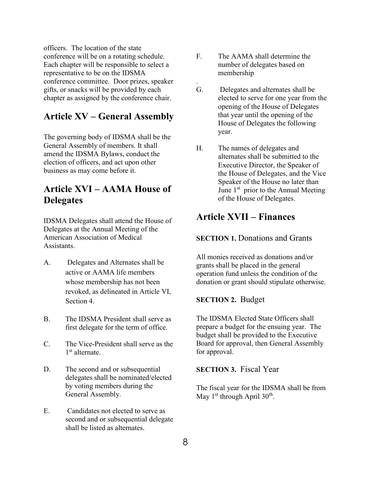officers. The location of the state conference will be on a rotating schedule. Each chapter will be responsible to select a representative to be on the IDSMA conference committee. Door prizes, speaker gifts, or snacks will be provided by each chapter as assigned by the conference chair.

## **Article XV – General Assembly**

The governing body of IDSMA shall be the General Assembly of members. It shall amend the IDSMA Bylaws, conduct the election of officers, and act upon other business as may come before it.

# **Article XVI – AAMA House of Delegates**

IDSMA Delegates shall attend the House of Delegates at the Annual Meeting of the American Association of Medical Assistants.

- A. Delegates and Alternates shall be active or AAMA life members whose membership has not been revoked, as delineated in Article VI, Section 4.
- B. The IDSMA President shall serve as first delegate for the term of office.
- C. The Vice-President shall serve as the 1 st alternate.
- D. The second and or subsequential delegates shall be nominated/elected by voting members during the General Assembly.
- E. Candidates not elected to serve as second and or subsequential delegate shall be listed as alternates.

F. The AAMA shall determine the number of delegates based on membership

.

- G. Delegates and alternates shall be elected to serve for one year from the opening of the House of Delegates that year until the opening of the House of Delegates the following year.
- H. The names of delegates and alternates shall be submitted to the Executive Director, the Speaker of the House of Delegates, and the Vice Speaker of the House no later than June  $1<sup>st</sup>$  prior to the Annual Meeting of the House of Delegates.

# **Article XVII – Finances**

### **SECTION 1. Donations and Grants**

All monies received as donations and/or grants shall be placed in the general operation fund unless the condition of the donation or grant should stipulate otherwise.

### **SECTION 2.** Budget

The IDSMA Elected State Officers shall prepare a budget for the ensuing year. The budget shall be provided to the Executive Board for approval, then General Assembly for approval.

### **SECTION 3.** Fiscal Year

The fiscal year for the IDSMA shall be from May  $1<sup>st</sup>$  through April 30<sup>th</sup>.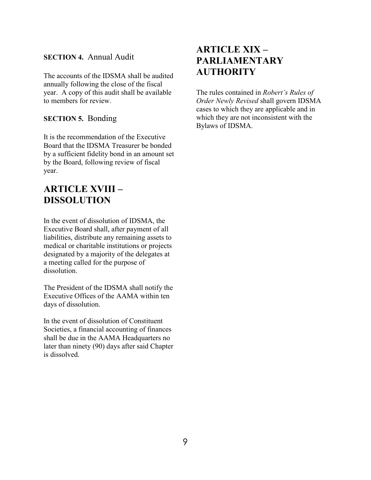### **SECTION 4.** Annual Audit

The accounts of the IDSMA shall be audited annually following the close of the fiscal year. A copy of this audit shall be available to members for review.

### **SECTION 5.** Bonding

It is the recommendation of the Executive Board that the IDSMA Treasurer be bonded by a sufficient fidelity bond in an amount set by the Board, following review of fiscal year.

# **ARTICLE XVIII – DISSOLUTION**

In the event of dissolution of IDSMA, the Executive Board shall, after payment of all liabilities, distribute any remaining assets to medical or charitable institutions or projects designated by a majority of the delegates at a meeting called for the purpose of dissolution.

The President of the IDSMA shall notify the Executive Offices of the AAMA within ten days of dissolution.

In the event of dissolution of Constituent Societies, a financial accounting of finances shall be due in the AAMA Headquarters no later than ninety (90) days after said Chapter is dissolved.

# **ARTICLE XIX – PARLIAMENTARY AUTHORITY**

The rules contained in *Robert's Rules of Order Newly Revised* shall govern IDSMA cases to which they are applicable and in which they are not inconsistent with the Bylaws of IDSMA.